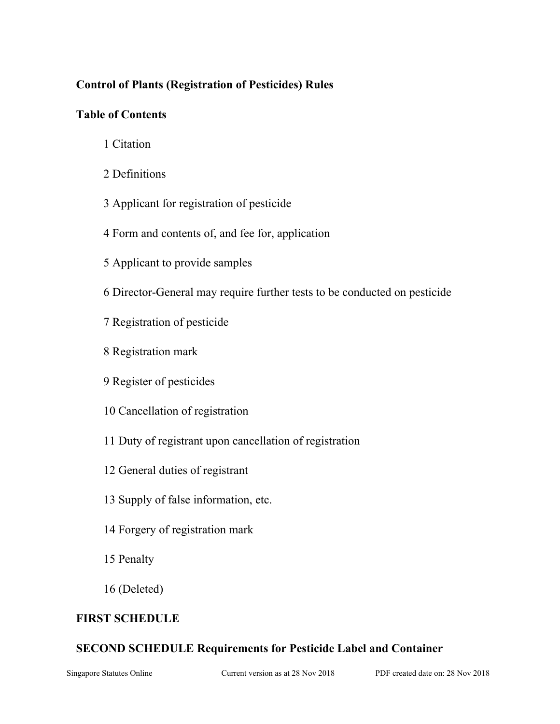# **Control of Plants (Registration of Pesticides) Rules**

## **Table of Contents**

- 1 Citation
- 2 Definitions
- 3 Applicant for registration of pesticide
- 4 Form and contents of, and fee for, application
- 5 Applicant to provide samples
- 6 Director-General may require further tests to be conducted on pesticide
- 7 Registration of pesticide
- 8 Registration mark
- 9 Register of pesticides
- 10 Cancellation of registration
- 11 Duty of registrant upon cancellation of registration
- 12 General duties of registrant
- 13 Supply of false information, etc.
- 14 Forgery of registration mark
- 15 Penalty
- 16 (Deleted)

# **FIRST SCHEDULE**

# **SECOND SCHEDULE Requirements for Pesticide Label and Container**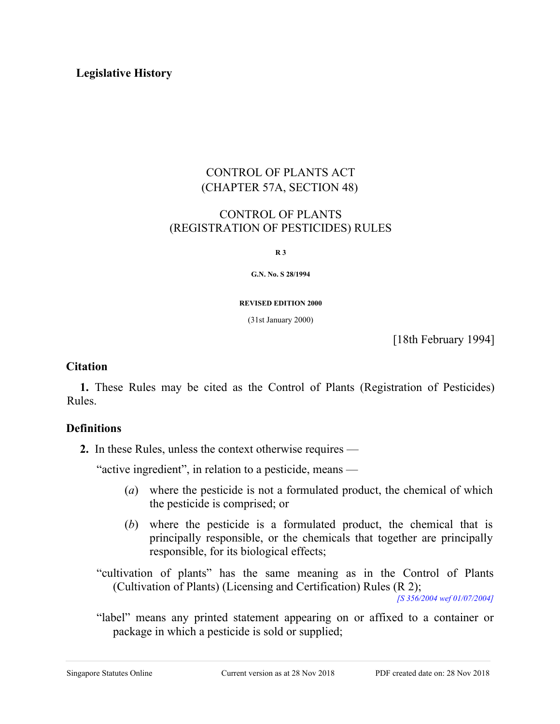### **Legislative History**

## CONTROL OF PLANTS ACT (CHAPTER 57A, SECTION 48)

## CONTROL OF PLANTS (REGISTRATION OF PESTICIDES) RULES

**R 3**

**G.N. No. S 28/1994**

**REVISED EDITION 2000**

(31st January 2000)

[18th February 1994]

#### **Citation**

**1.** These Rules may be cited as the Control of Plants (Registration of Pesticides) Rules.

## **Definitions**

**2.** In these Rules, unless the context otherwise requires —

"active ingredient", in relation to a pesticide, means —

- (*a*) where the pesticide is not a formulated product, the chemical of which the pesticide is comprised; or
- (*b*) where the pesticide is a formulated product, the chemical that is principally responsible, or the chemicals that together are principally responsible, for its biological effects;
- "cultivation of plants" has the same meaning as in the Control of Plants (Cultivation of Plants) (Licensing and Certification) Rules (R 2); *[S 356/2004 wef 01/07/2004]*
- "label" means any printed statement appearing on or affixed to a container or package in which a pesticide is sold or supplied;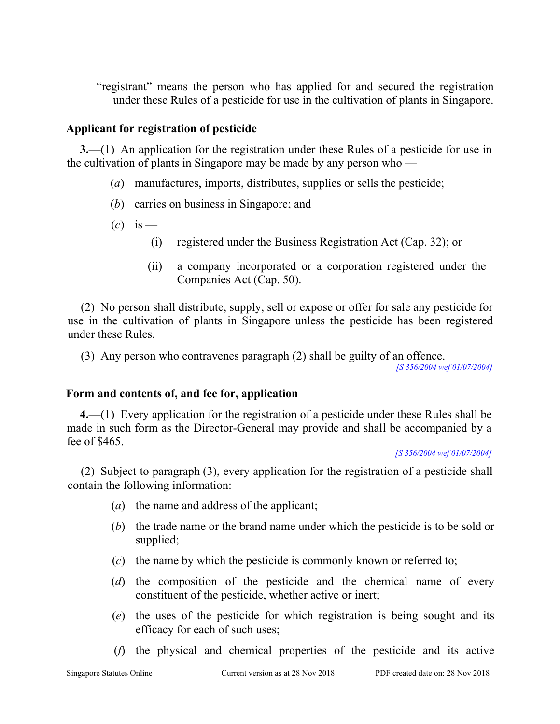"registrant" means the person who has applied for and secured the registration under these Rules of a pesticide for use in the cultivation of plants in Singapore.

## **Applicant for registration of pesticide**

**3.**—(1) An application for the registration under these Rules of a pesticide for use in the cultivation of plants in Singapore may be made by any person who —

- (*a*) manufactures, imports, distributes, supplies or sells the pesticide;
- (*b*) carries on business in Singapore; and
- $(c)$  is
	- (i) registered under the Business Registration Act (Cap. 32); or
	- (ii) a company incorporated or a corporation registered under the Companies Act (Cap. 50).

(2) No person shall distribute, supply, sell or expose or offer for sale any pesticide for use in the cultivation of plants in Singapore unless the pesticide has been registered under these Rules.

(3) Any person who contravenes paragraph (2) shall be guilty of an offence.

*[S 356/2004 wef 01/07/2004]*

## **Form and contents of, and fee for, application**

**4.**—(1) Every application for the registration of a pesticide under these Rules shall be made in such form as the Director-General may provide and shall be accompanied by a fee of \$465.

#### *[S 356/2004 wef 01/07/2004]*

(2) Subject to paragraph (3), every application for the registration of a pesticide shall contain the following information:

- (*a*) the name and address of the applicant;
- (*b*) the trade name or the brand name under which the pesticide is to be sold or supplied;
- (*c*) the name by which the pesticide is commonly known or referred to;
- (*d*) the composition of the pesticide and the chemical name of every constituent of the pesticide, whether active or inert;
- (*e*) the uses of the pesticide for which registration is being sought and its efficacy for each of such uses;
- (*f*) the physical and chemical properties of the pesticide and its active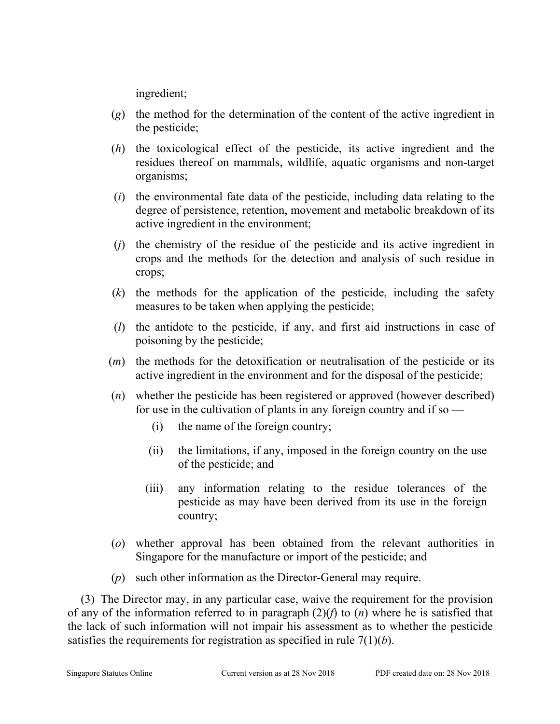ingredient;

- (*g*) the method for the determination of the content of the active ingredient in the pesticide;
- (*h*) the toxicological effect of the pesticide, its active ingredient and the residues thereof on mammals, wildlife, aquatic organisms and non-target organisms;
- (*i*) the environmental fate data of the pesticide, including data relating to the degree of persistence, retention, movement and metabolic breakdown of its active ingredient in the environment;
- (*j*) the chemistry of the residue of the pesticide and its active ingredient in crops and the methods for the detection and analysis of such residue in crops;
- (*k*) the methods for the application of the pesticide, including the safety measures to be taken when applying the pesticide;
- (*l*) the antidote to the pesticide, if any, and first aid instructions in case of poisoning by the pesticide;
- (*m*) the methods for the detoxification or neutralisation of the pesticide or its active ingredient in the environment and for the disposal of the pesticide;
- (*n*) whether the pesticide has been registered or approved (however described) for use in the cultivation of plants in any foreign country and if so  $-$ 
	- (i) the name of the foreign country;
	- (ii) the limitations, if any, imposed in the foreign country on the use of the pesticide; and
	- (iii) any information relating to the residue tolerances of the pesticide as may have been derived from its use in the foreign country;
- (*o*) whether approval has been obtained from the relevant authorities in Singapore for the manufacture or import of the pesticide; and
- (*p*) such other information as the Director-General may require.

(3) The Director may, in any particular case, waive the requirement for the provision of any of the information referred to in paragraph (2)(*f*) to (*n*) where he is satisfied that the lack of such information will not impair his assessment as to whether the pesticide satisfies the requirements for registration as specified in rule 7(1)(*b*).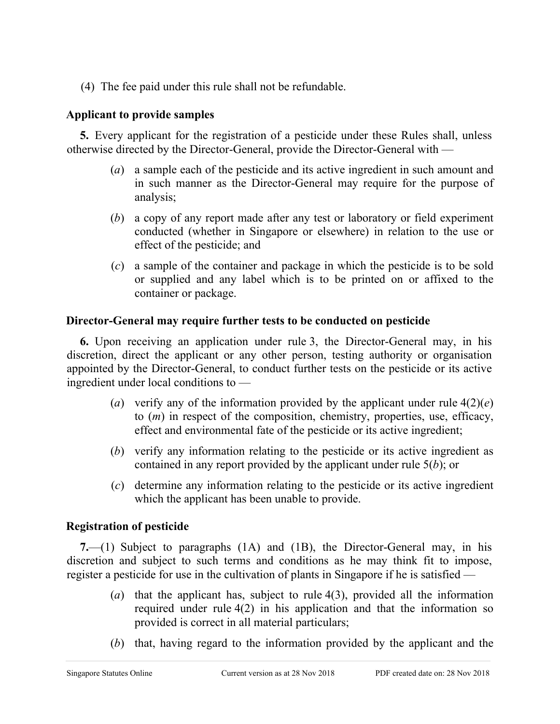(4) The fee paid under this rule shall not be refundable.

# **Applicant to provide samples**

**5.** Every applicant for the registration of a pesticide under these Rules shall, unless otherwise directed by the Director-General, provide the Director-General with —

- (*a*) a sample each of the pesticide and its active ingredient in such amount and in such manner as the Director-General may require for the purpose of analysis;
- (*b*) a copy of any report made after any test or laboratory or field experiment conducted (whether in Singapore or elsewhere) in relation to the use or effect of the pesticide; and
- (*c*) a sample of the container and package in which the pesticide is to be sold or supplied and any label which is to be printed on or affixed to the container or package.

# **Director-General may require further tests to be conducted on pesticide**

**6.** Upon receiving an application under rule 3, the Director-General may, in his discretion, direct the applicant or any other person, testing authority or organisation appointed by the Director-General, to conduct further tests on the pesticide or its active ingredient under local conditions to —

- (*a*) verify any of the information provided by the applicant under rule  $4(2)(e)$ to (*m*) in respect of the composition, chemistry, properties, use, efficacy, effect and environmental fate of the pesticide or its active ingredient;
- (*b*) verify any information relating to the pesticide or its active ingredient as contained in any report provided by the applicant under rule 5(*b*); or
- (*c*) determine any information relating to the pesticide or its active ingredient which the applicant has been unable to provide.

# **Registration of pesticide**

**7.**—(1) Subject to paragraphs (1A) and (1B), the Director-General may, in his discretion and subject to such terms and conditions as he may think fit to impose, register a pesticide for use in the cultivation of plants in Singapore if he is satisfied —

- (*a*) that the applicant has, subject to rule 4(3), provided all the information required under rule 4(2) in his application and that the information so provided is correct in all material particulars;
- (*b*) that, having regard to the information provided by the applicant and the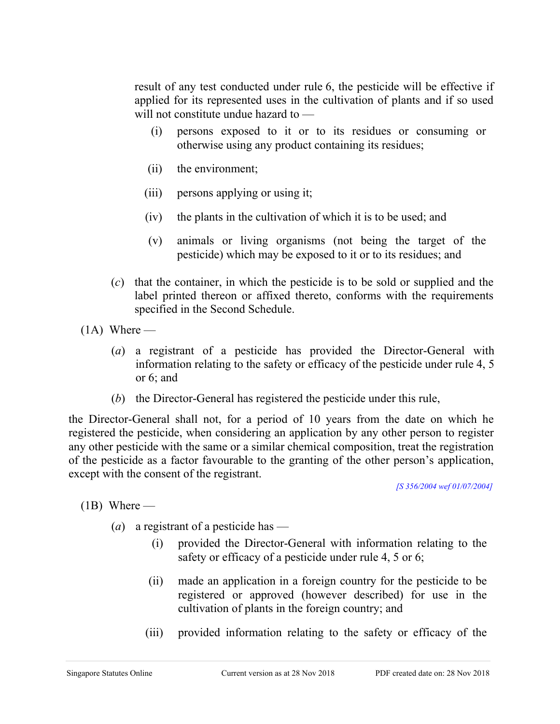result of any test conducted under rule 6, the pesticide will be effective if applied for its represented uses in the cultivation of plants and if so used will not constitute undue hazard to —

- (i) persons exposed to it or to its residues or consuming or otherwise using any product containing its residues;
- (ii) the environment;
- (iii) persons applying or using it;
- (iv) the plants in the cultivation of which it is to be used; and
- (v) animals or living organisms (not being the target of the pesticide) which may be exposed to it or to its residues; and
- (*c*) that the container, in which the pesticide is to be sold or supplied and the label printed thereon or affixed thereto, conforms with the requirements specified in the Second Schedule.
- $(1A)$  Where
	- (*a*) a registrant of a pesticide has provided the Director-General with information relating to the safety or efficacy of the pesticide under rule 4, 5 or 6; and
	- (*b*) the Director-General has registered the pesticide under this rule,

the Director-General shall not, for a period of 10 years from the date on which he registered the pesticide, when considering an application by any other person to register any other pesticide with the same or a similar chemical composition, treat the registration of the pesticide as a factor favourable to the granting of the other person's application, except with the consent of the registrant.

*[S 356/2004 wef 01/07/2004]*

 $(1B)$  Where —

- (*a*) a registrant of a pesticide has
	- (i) provided the Director-General with information relating to the safety or efficacy of a pesticide under rule 4, 5 or 6;
	- (ii) made an application in a foreign country for the pesticide to be registered or approved (however described) for use in the cultivation of plants in the foreign country; and
	- (iii) provided information relating to the safety or efficacy of the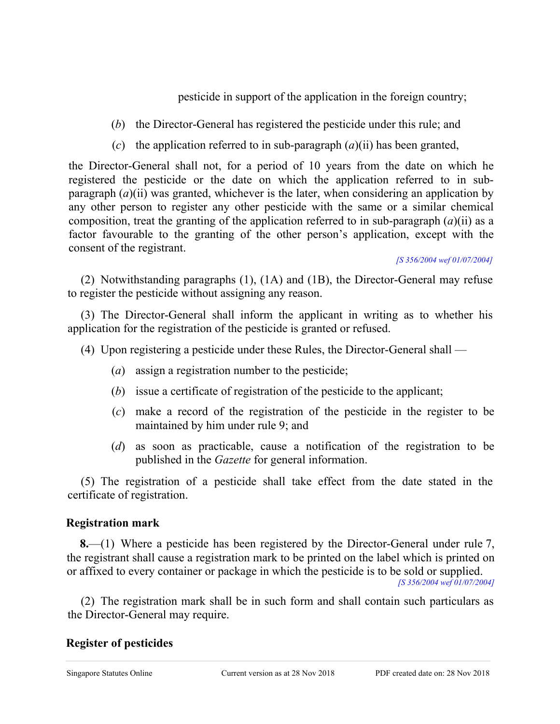pesticide in support of the application in the foreign country;

- (*b*) the Director-General has registered the pesticide under this rule; and
- (*c*) the application referred to in sub-paragraph (*a*)(ii) has been granted,

the Director-General shall not, for a period of 10 years from the date on which he registered the pesticide or the date on which the application referred to in subparagraph (*a*)(ii) was granted, whichever is the later, when considering an application by any other person to register any other pesticide with the same or a similar chemical composition, treat the granting of the application referred to in sub-paragraph (*a*)(ii) as a factor favourable to the granting of the other person's application, except with the consent of the registrant.

*[S 356/2004 wef 01/07/2004]*

(2) Notwithstanding paragraphs (1), (1A) and (1B), the Director-General may refuse to register the pesticide without assigning any reason.

(3) The Director-General shall inform the applicant in writing as to whether his application for the registration of the pesticide is granted or refused.

- (4) Upon registering a pesticide under these Rules, the Director-General shall
	- (*a*) assign a registration number to the pesticide;
	- (*b*) issue a certificate of registration of the pesticide to the applicant;
	- (*c*) make a record of the registration of the pesticide in the register to be maintained by him under rule 9; and
	- (*d*) as soon as practicable, cause a notification of the registration to be published in the *Gazette* for general information.

(5) The registration of a pesticide shall take effect from the date stated in the certificate of registration.

# **Registration mark**

**8.**—(1) Where a pesticide has been registered by the Director-General under rule 7, the registrant shall cause a registration mark to be printed on the label which is printed on or affixed to every container or package in which the pesticide is to be sold or supplied.

*[S 356/2004 wef 01/07/2004]*

(2) The registration mark shall be in such form and shall contain such particulars as the Director-General may require.

# **Register of pesticides**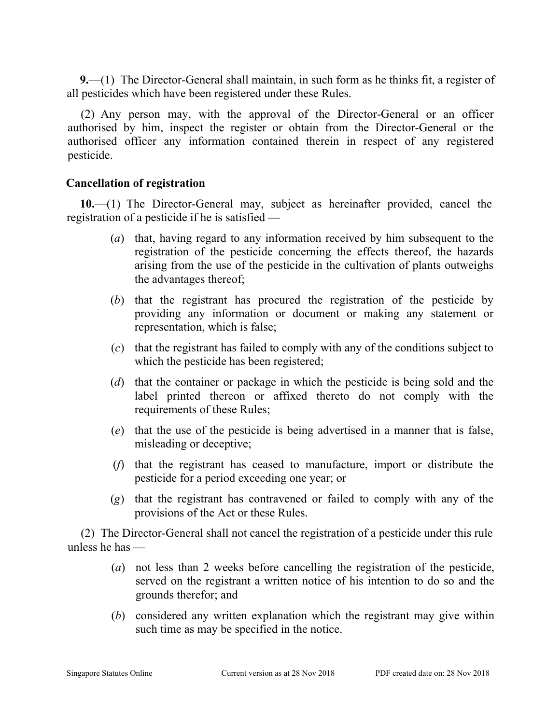**9.**—(1) The Director-General shall maintain, in such form as he thinks fit, a register of all pesticides which have been registered under these Rules.

(2) Any person may, with the approval of the Director-General or an officer authorised by him, inspect the register or obtain from the Director-General or the authorised officer any information contained therein in respect of any registered pesticide.

## **Cancellation of registration**

**10.**—(1) The Director-General may, subject as hereinafter provided, cancel the registration of a pesticide if he is satisfied —

- (*a*) that, having regard to any information received by him subsequent to the registration of the pesticide concerning the effects thereof, the hazards arising from the use of the pesticide in the cultivation of plants outweighs the advantages thereof;
- (*b*) that the registrant has procured the registration of the pesticide by providing any information or document or making any statement or representation, which is false;
- (*c*) that the registrant has failed to comply with any of the conditions subject to which the pesticide has been registered;
- (*d*) that the container or package in which the pesticide is being sold and the label printed thereon or affixed thereto do not comply with the requirements of these Rules;
- (*e*) that the use of the pesticide is being advertised in a manner that is false, misleading or deceptive;
- (*f*) that the registrant has ceased to manufacture, import or distribute the pesticide for a period exceeding one year; or
- (*g*) that the registrant has contravened or failed to comply with any of the provisions of the Act or these Rules.

(2) The Director-General shall not cancel the registration of a pesticide under this rule unless he has —

- (*a*) not less than 2 weeks before cancelling the registration of the pesticide, served on the registrant a written notice of his intention to do so and the grounds therefor; and
- (*b*) considered any written explanation which the registrant may give within such time as may be specified in the notice.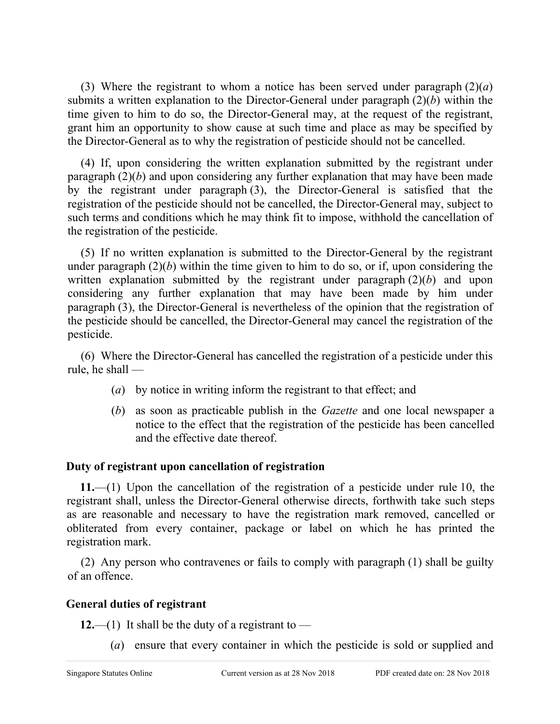(3) Where the registrant to whom a notice has been served under paragraph  $(2)(a)$ submits a written explanation to the Director-General under paragraph (2)(*b*) within the time given to him to do so, the Director-General may, at the request of the registrant, grant him an opportunity to show cause at such time and place as may be specified by the Director-General as to why the registration of pesticide should not be cancelled.

(4) If, upon considering the written explanation submitted by the registrant under paragraph  $(2)(b)$  and upon considering any further explanation that may have been made by the registrant under paragraph (3), the Director-General is satisfied that the registration of the pesticide should not be cancelled, the Director-General may, subject to such terms and conditions which he may think fit to impose, withhold the cancellation of the registration of the pesticide.

(5) If no written explanation is submitted to the Director-General by the registrant under paragraph  $(2)(b)$  within the time given to him to do so, or if, upon considering the written explanation submitted by the registrant under paragraph (2)(*b*) and upon considering any further explanation that may have been made by him under paragraph (3), the Director-General is nevertheless of the opinion that the registration of the pesticide should be cancelled, the Director-General may cancel the registration of the pesticide.

(6) Where the Director-General has cancelled the registration of a pesticide under this rule, he shall —

- (*a*) by notice in writing inform the registrant to that effect; and
- (*b*) as soon as practicable publish in the *Gazette* and one local newspaper a notice to the effect that the registration of the pesticide has been cancelled and the effective date thereof.

## **Duty of registrant upon cancellation of registration**

**11.**—(1) Upon the cancellation of the registration of a pesticide under rule 10, the registrant shall, unless the Director-General otherwise directs, forthwith take such steps as are reasonable and necessary to have the registration mark removed, cancelled or obliterated from every container, package or label on which he has printed the registration mark.

(2) Any person who contravenes or fails to comply with paragraph (1) shall be guilty of an offence.

## **General duties of registrant**

**12.**—(1) It shall be the duty of a registrant to —

(*a*) ensure that every container in which the pesticide is sold or supplied and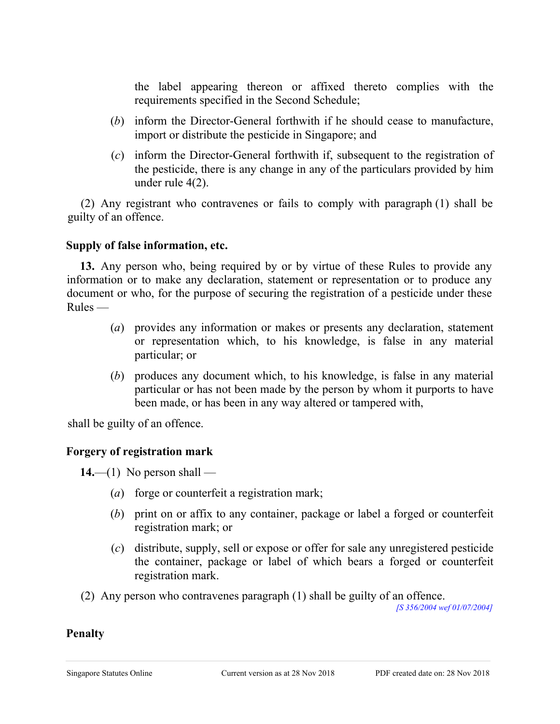the label appearing thereon or affixed thereto complies with the requirements specified in the Second Schedule;

- (*b*) inform the Director-General forthwith if he should cease to manufacture, import or distribute the pesticide in Singapore; and
- (*c*) inform the Director-General forthwith if, subsequent to the registration of the pesticide, there is any change in any of the particulars provided by him under rule 4(2).

(2) Any registrant who contravenes or fails to comply with paragraph (1) shall be guilty of an offence.

#### **Supply of false information, etc.**

**13.** Any person who, being required by or by virtue of these Rules to provide any information or to make any declaration, statement or representation or to produce any document or who, for the purpose of securing the registration of a pesticide under these Rules —

- (*a*) provides any information or makes or presents any declaration, statement or representation which, to his knowledge, is false in any material particular; or
- (*b*) produces any document which, to his knowledge, is false in any material particular or has not been made by the person by whom it purports to have been made, or has been in any way altered or tampered with,

shall be guilty of an offence.

## **Forgery of registration mark**

 $14.$ —(1) No person shall —

- (*a*) forge or counterfeit a registration mark;
- (*b*) print on or affix to any container, package or label a forged or counterfeit registration mark; or
- (*c*) distribute, supply, sell or expose or offer for sale any unregistered pesticide the container, package or label of which bears a forged or counterfeit registration mark.
- (2) Any person who contravenes paragraph (1) shall be guilty of an offence.

*[S 356/2004 wef 01/07/2004]*

#### **Penalty**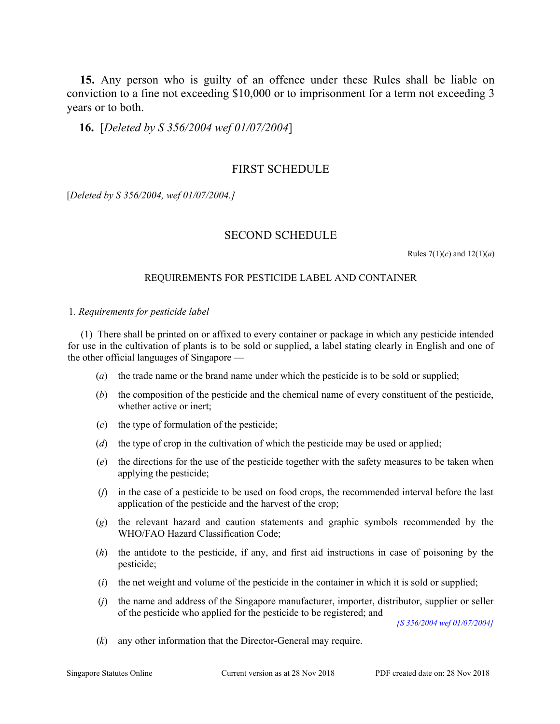**15.** Any person who is guilty of an offence under these Rules shall be liable on conviction to a fine not exceeding \$10,000 or to imprisonment for a term not exceeding 3 years or to both.

**16.** [*Deleted by S 356/2004 wef 01/07/2004*]

#### FIRST SCHEDULE

[*Deleted by S 356/2004, wef 01/07/2004.]*

#### SECOND SCHEDULE

Rules  $7(1)(c)$  and  $12(1)(a)$ 

#### REQUIREMENTS FOR PESTICIDE LABEL AND CONTAINER

#### 1. *Requirements for pesticide label*

(1) There shall be printed on or affixed to every container or package in which any pesticide intended for use in the cultivation of plants is to be sold or supplied, a label stating clearly in English and one of the other official languages of Singapore —

- (*a*) the trade name or the brand name under which the pesticide is to be sold or supplied;
- (*b*) the composition of the pesticide and the chemical name of every constituent of the pesticide, whether active or inert;
- (*c*) the type of formulation of the pesticide;
- (*d*) the type of crop in the cultivation of which the pesticide may be used or applied;
- (*e*) the directions for the use of the pesticide together with the safety measures to be taken when applying the pesticide;
- (*f*) in the case of a pesticide to be used on food crops, the recommended interval before the last application of the pesticide and the harvest of the crop;
- (*g*) the relevant hazard and caution statements and graphic symbols recommended by the WHO/FAO Hazard Classification Code;
- (*h*) the antidote to the pesticide, if any, and first aid instructions in case of poisoning by the pesticide;
- (*i*) the net weight and volume of the pesticide in the container in which it is sold or supplied;
- (*j*) the name and address of the Singapore manufacturer, importer, distributor, supplier or seller of the pesticide who applied for the pesticide to be registered; and

*[S 356/2004 wef 01/07/2004]*

(*k*) any other information that the Director-General may require.